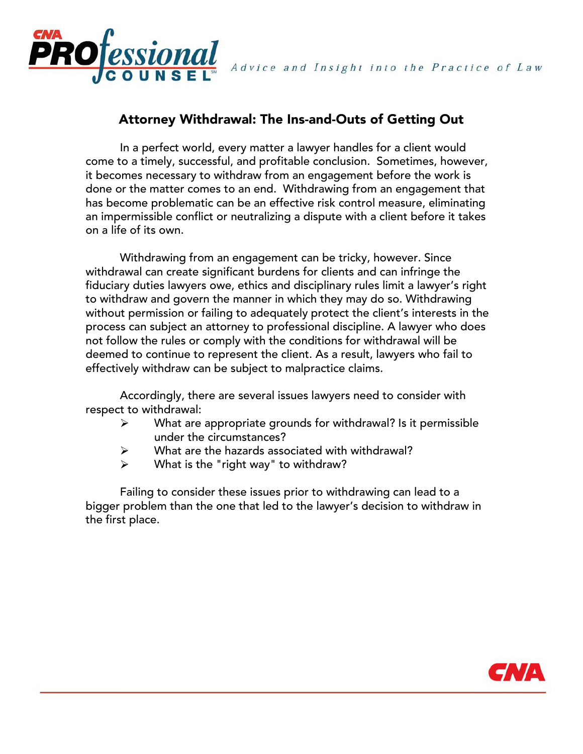

Advice and Insight into the Practice of Law

# Attorney Withdrawal: The Ins-and-Outs of Getting Out

In a perfect world, every matter a lawyer handles for a client would come to a timely, successful, and profitable conclusion. Sometimes, however, it becomes necessary to withdraw from an engagement before the work is done or the matter comes to an end. Withdrawing from an engagement that has become problematic can be an effective risk control measure, eliminating an impermissible conflict or neutralizing a dispute with a client before it takes on a life of its own.

Withdrawing from an engagement can be tricky, however. Since withdrawal can create significant burdens for clients and can infringe the fiduciary duties lawyers owe, ethics and disciplinary rules limit a lawyer's right to withdraw and govern the manner in which they may do so. Withdrawing without permission or failing to adequately protect the client's interests in the process can subject an attorney to professional discipline. A lawyer who does not follow the rules or comply with the conditions for withdrawal will be deemed to continue to represent the client. As a result, lawyers who fail to effectively withdraw can be subject to malpractice claims.

Accordingly, there are several issues lawyers need to consider with respect to withdrawal:

- What are appropriate grounds for withdrawal? Is it permissible ➤ under the circumstances?
- What are the hazards associated with withdrawal?  $\blacktriangleright$
- What is the "right way" to withdraw?  $\blacktriangleright$

Failing to consider these issues prior to withdrawing can lead to a bigger problem than the one that led to the lawyer's decision to withdraw in the first place.

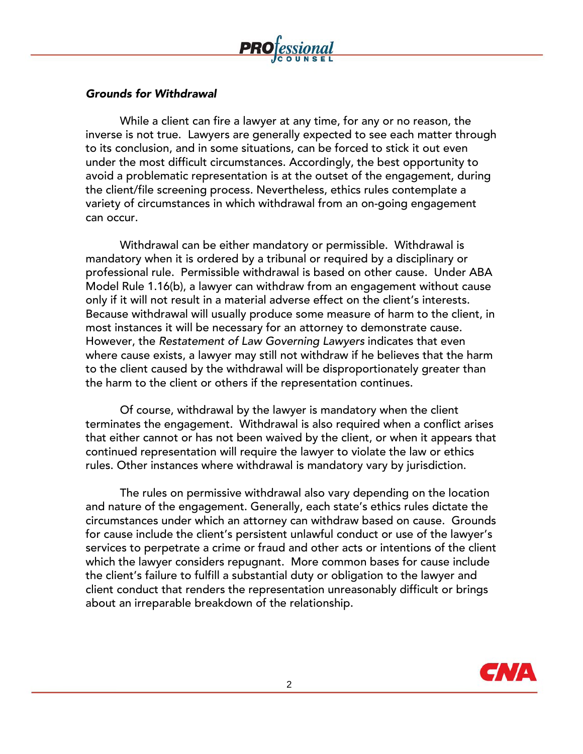

### *Grounds for Withdrawal*

While a client can fire a lawyer at any time, for any or no reason, the inverse is not true. Lawyers are generally expected to see each matter through to its conclusion, and in some situations, can be forced to stick it out even under the most difficult circumstances. Accordingly, the best opportunity to avoid a problematic representation is at the outset of the engagement, during the client/file screening process. Nevertheless, ethics rules contemplate a variety of circumstances in which withdrawal from an on-going engagement can occur.

Withdrawal can be either mandatory or permissible. Withdrawal is mandatory when it is ordered by a tribunal or required by a disciplinary or professional rule. Permissible withdrawal is based on other cause. Under ABA Model Rule 1.16(b), a lawyer can withdraw from an engagement without cause only if it will not result in a material adverse effect on the client's interests. Because withdrawal will usually produce some measure of harm to the client, in most instances it will be necessary for an attorney to demonstrate cause. However, the *Restatement of Law Governing Lawyers* indicates that even where cause exists, a lawyer may still not withdraw if he believes that the harm to the client caused by the withdrawal will be disproportionately greater than the harm to the client or others if the representation continues.

Of course, withdrawal by the lawyer is mandatory when the client terminates the engagement. Withdrawal is also required when a conflict arises that either cannot or has not been waived by the client, or when it appears that continued representation will require the lawyer to violate the law or ethics rules. Other instances where withdrawal is mandatory vary by jurisdiction.

The rules on permissive withdrawal also vary depending on the location and nature of the engagement. Generally, each state's ethics rules dictate the circumstances under which an attorney can withdraw based on cause. Grounds for cause include the client's persistent unlawful conduct or use of the lawyer's services to perpetrate a crime or fraud and other acts or intentions of the client which the lawyer considers repugnant. More common bases for cause include the client's failure to fulfill a substantial duty or obligation to the lawyer and client conduct that renders the representation unreasonably difficult or brings about an irreparable breakdown of the relationship.

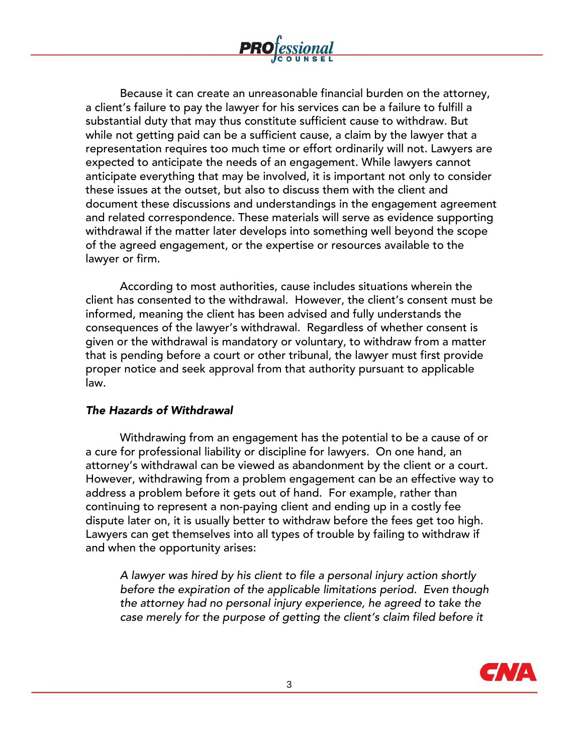

According to most authorities, cause includes situations wherein the client has consented to the withdrawal. However, the client's consent must be informed, meaning the client has been advised and fully understands the consequences of the lawyer's withdrawal. Regardless of whether consent is given or the withdrawal is mandatory or voluntary, to withdraw from a matter that is pending before a court or other tribunal, the lawyer must first provide proper notice and seek approval from that authority pursuant to applicable law.

### *The Hazards of Withdrawal*

Withdrawing from an engagement has the potential to be a cause of or a cure for professional liability or discipline for lawyers. On one hand, an attorney's withdrawal can be viewed as abandonment by the client or a court. However, withdrawing from a problem engagement can be an effective way to address a problem before it gets out of hand. For example, rather than continuing to represent a non-paying client and ending up in a costly fee dispute later on, it is usually better to withdraw before the fees get too high. Lawyers can get themselves into all types of trouble by failing to withdraw if and when the opportunity arises:

*A lawyer was hired by his client to file a personal injury action shortly before the expiration of the applicable limitations period. Even though the attorney had no personal injury experience, he agreed to take the* case merely for the purpose of getting the client's claim filed before it

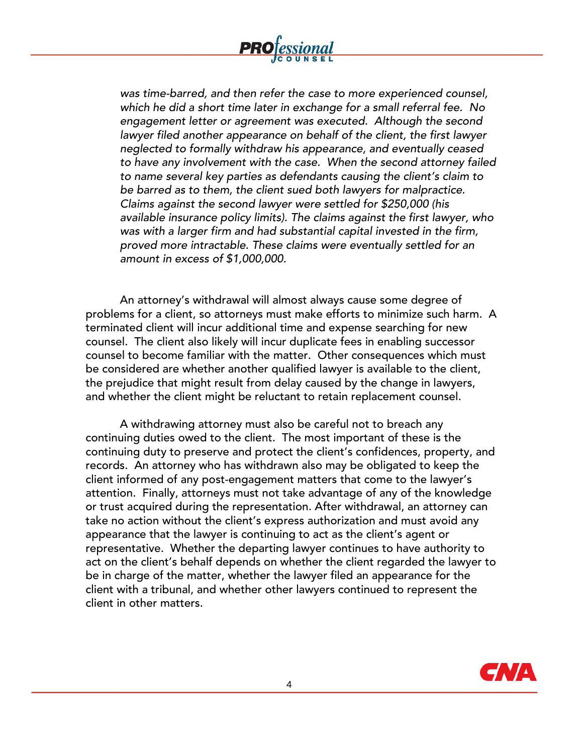

*was time-barred, and then refer the case to more experienced counsel, which he did a short time later in exchange for a small referral fee. No engagement letter or agreement was executed. Although the second lawyer filed another appearance on behalf of the client, the first lawyer neglected to formally withdraw his appearance, and eventually ceased to have any involvement with the case. When the second attorney failed* to name several key parties as defendants causing the client's claim to *be barred as to them, the client sued both lawyers for malpractice. Claims against the second lawyer were settled for \$250,000 (his available insurance policy limits). The claims against the first lawyer, who was with a larger firm and had substantial capital invested in the firm, proved more intractable. These claims were eventually settled for an amount in excess of \$1,000,000.*

An attorney's withdrawal will almost always cause some degree of problems for a client, so attorneys must make efforts to minimize such harm. A terminated client will incur additional time and expense searching for new counsel. The client also likely will incur duplicate fees in enabling successor counsel to become familiar with the matter. Other consequences which must be considered are whether another qualified lawyer is available to the client, the prejudice that might result from delay caused by the change in lawyers, and whether the client might be reluctant to retain replacement counsel.

A withdrawing attorney must also be careful not to breach any continuing duties owed to the client. The most important of these is the continuing duty to preserve and protect the client's confidences, property, and records. An attorney who has withdrawn also may be obligated to keep the client informed of any post-engagement matters that come to the lawyer's attention. Finally, attorneys must not take advantage of any of the knowledge or trust acquired during the representation. After withdrawal, an attorney can take no action without the client's express authorization and must avoid any appearance that the lawyer is continuing to act as the client's agent or representative. Whether the departing lawyer continues to have authority to act on the client's behalf depends on whether the client regarded the lawyer to be in charge of the matter, whether the lawyer filed an appearance for the client with a tribunal, and whether other lawyers continued to represent the client in other matters.

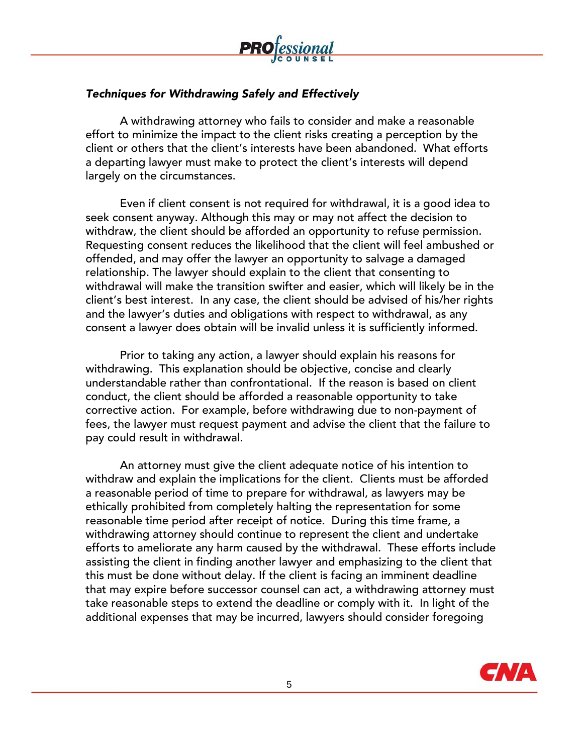

## *Techniques for Withdrawing Safely and Effectively*

A withdrawing attorney who fails to consider and make a reasonable effort to minimize the impact to the client risks creating a perception by the client or others that the client's interests have been abandoned. What efforts a departing lawyer must make to protect the client's interests will depend largely on the circumstances.

Even if client consent is not required for withdrawal, it is a good idea to seek consent anyway. Although this may or may not affect the decision to withdraw, the client should be afforded an opportunity to refuse permission. Requesting consent reduces the likelihood that the client will feel ambushed or offended, and may offer the lawyer an opportunity to salvage a damaged relationship. The lawyer should explain to the client that consenting to withdrawal will make the transition swifter and easier, which will likely be in the client's best interest. In any case, the client should be advised of his/her rights and the lawyer's duties and obligations with respect to withdrawal, as any consent a lawyer does obtain will be invalid unless it is sufficiently informed.

Prior to taking any action, a lawyer should explain his reasons for withdrawing. This explanation should be objective, concise and clearly understandable rather than confrontational. If the reason is based on client conduct, the client should be afforded a reasonable opportunity to take corrective action. For example, before withdrawing due to non-payment of fees, the lawyer must request payment and advise the client that the failure to pay could result in withdrawal.

An attorney must give the client adequate notice of his intention to withdraw and explain the implications for the client. Clients must be afforded a reasonable period of time to prepare for withdrawal, as lawyers may be ethically prohibited from completely halting the representation for some reasonable time period after receipt of notice. During this time frame, a withdrawing attorney should continue to represent the client and undertake efforts to ameliorate any harm caused by the withdrawal. These efforts include assisting the client in finding another lawyer and emphasizing to the client that this must be done without delay. If the client is facing an imminent deadline that may expire before successor counsel can act, a withdrawing attorney must take reasonable steps to extend the deadline or comply with it. In light of the additional expenses that may be incurred, lawyers should consider foregoing

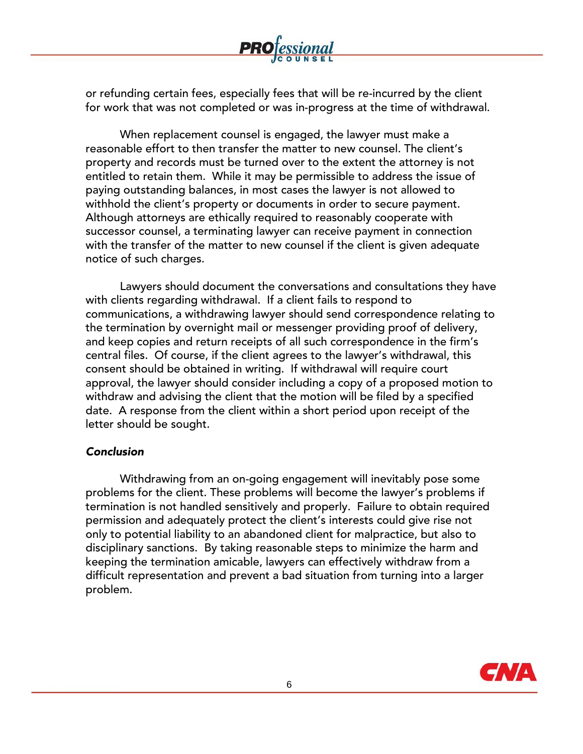

or refunding certain fees, especially fees that will be re-incurred by the client for work that was not completed or was in-progress at the time of withdrawal.

When replacement counsel is engaged, the lawyer must make a reasonable effort to then transfer the matter to new counsel. The client's property and records must be turned over to the extent the attorney is not entitled to retain them. While it may be permissible to address the issue of paying outstanding balances, in most cases the lawyer is not allowed to withhold the client's property or documents in order to secure payment. Although attorneys are ethically required to reasonably cooperate with successor counsel, a terminating lawyer can receive payment in connection with the transfer of the matter to new counsel if the client is given adequate notice of such charges.

Lawyers should document the conversations and consultations they have with clients regarding withdrawal. If a client fails to respond to communications, a withdrawing lawyer should send correspondence relating to the termination by overnight mail or messenger providing proof of delivery, and keep copies and return receipts of all such correspondence in the firm's central files. Of course, if the client agrees to the lawyer's withdrawal, this consent should be obtained in writing. If withdrawal will require court approval, the lawyer should consider including a copy of a proposed motion to withdraw and advising the client that the motion will be filed by a specified date. A response from the client within a short period upon receipt of the letter should be sought.

### *Conclusion*

Withdrawing from an on-going engagement will inevitably pose some problems for the client. These problems will become the lawyer's problems if termination is not handled sensitively and properly. Failure to obtain required permission and adequately protect the client's interests could give rise not only to potential liability to an abandoned client for malpractice, but also to disciplinary sanctions. By taking reasonable steps to minimize the harm and keeping the termination amicable, lawyers can effectively withdraw from a difficult representation and prevent a bad situation from turning into a larger problem.